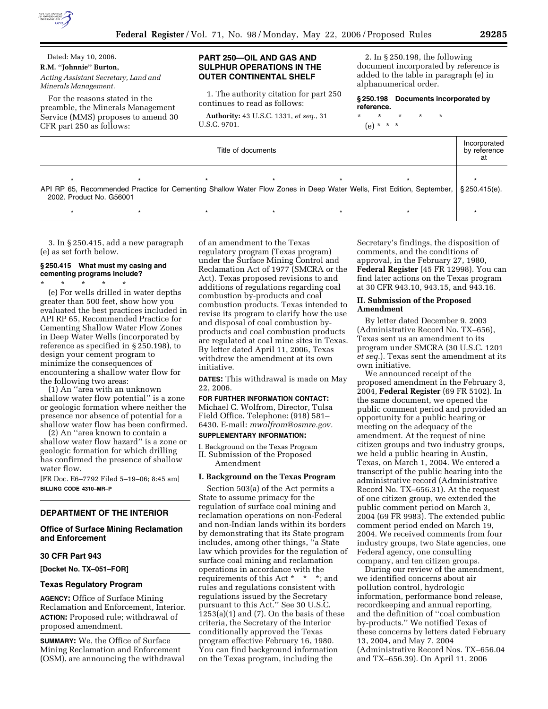

Dated: May 10, 2006. **R.M. ''Johnnie'' Burton,** 

*Acting Assistant Secretary, Land and Minerals Management.* 

For the reasons stated in the preamble, the Minerals Management Service (MMS) proposes to amend 30 CFR part 250 as follows:

### **PART 250—OIL AND GAS AND SULPHUR OPERATIONS IN THE OUTER CONTINENTAL SHELF**

1. The authority citation for part 250 continues to read as follows:

**Authority:** 43 U.S.C. 1331, *et seq.*, 31 U.S.C. 9701.

2. In § 250.198, the following document incorporated by reference is added to the table in paragraph (e) in alphanumerical order.

**§ 250.198 Documents incorporated by reference.** 

\* \* \* \* \* (e) \* \* \*

| Title of documents       |  |  |  |  |                                                                                                                                       | Incorporated<br>by reference |
|--------------------------|--|--|--|--|---------------------------------------------------------------------------------------------------------------------------------------|------------------------------|
| 2002. Product No. G56001 |  |  |  |  | API RP 65, Recommended Practice for Cementing Shallow Water Flow Zones in Deep Water Wells, First Edition, September,   § 250.415(e). |                              |
|                          |  |  |  |  |                                                                                                                                       |                              |

3. In § 250.415, add a new paragraph (e) as set forth below.

## **§ 250.415 What must my casing and cementing programs include?**

\* \* \* \* \* (e) For wells drilled in water depths greater than 500 feet, show how you evaluated the best practices included in API RP 65, Recommended Practice for Cementing Shallow Water Flow Zones in Deep Water Wells (incorporated by reference as specified in § 250.198), to design your cement program to minimize the consequences of encountering a shallow water flow for the following two areas:

(1) An ''area with an unknown shallow water flow potential'' is a zone or geologic formation where neither the presence nor absence of potential for a shallow water flow has been confirmed.

(2) An ''area known to contain a shallow water flow hazard'' is a zone or geologic formation for which drilling has confirmed the presence of shallow water flow.

[FR Doc. E6–7792 Filed 5–19–06; 8:45 am] **BILLING CODE 4310–MR–P** 

### **DEPARTMENT OF THE INTERIOR**

### **Office of Surface Mining Reclamation and Enforcement**

#### **30 CFR Part 943**

**[Docket No. TX–051–FOR]** 

### **Texas Regulatory Program**

**AGENCY:** Office of Surface Mining Reclamation and Enforcement, Interior. **ACTION:** Proposed rule; withdrawal of proposed amendment.

**SUMMARY:** We, the Office of Surface Mining Reclamation and Enforcement (OSM), are announcing the withdrawal

of an amendment to the Texas regulatory program (Texas program) under the Surface Mining Control and Reclamation Act of 1977 (SMCRA or the Act). Texas proposed revisions to and additions of regulations regarding coal combustion by-products and coal combustion products. Texas intended to revise its program to clarify how the use and disposal of coal combustion byproducts and coal combustion products are regulated at coal mine sites in Texas. By letter dated April 11, 2006, Texas withdrew the amendment at its own initiative.

**DATES:** This withdrawal is made on May 22, 2006.

**FOR FURTHER INFORMATION CONTACT:**  Michael C. Wolfrom, Director, Tulsa Field Office. Telephone: (918) 581– 6430. E-mail: *mwolfrom@osmre.gov.*  **SUPPLEMENTARY INFORMATION:** 

I. Background on the Texas Program II. Submission of the Proposed Amendment

#### **I. Background on the Texas Program**

Section 503(a) of the Act permits a State to assume primacy for the regulation of surface coal mining and reclamation operations on non-Federal and non-Indian lands within its borders by demonstrating that its State program includes, among other things, ''a State law which provides for the regulation of surface coal mining and reclamation operations in accordance with the requirements of this Act \* \* \*; and rules and regulations consistent with regulations issued by the Secretary pursuant to this Act.'' See 30 U.S.C.  $1253(a)(1)$  and  $(7)$ . On the basis of these criteria, the Secretary of the Interior conditionally approved the Texas program effective February 16, 1980. You can find background information on the Texas program, including the

Secretary's findings, the disposition of comments, and the conditions of approval, in the February 27, 1980, **Federal Register** (45 FR 12998). You can find later actions on the Texas program at 30 CFR 943.10, 943.15, and 943.16.

#### **II. Submission of the Proposed Amendment**

By letter dated December 9, 2003 (Administrative Record No. TX–656), Texas sent us an amendment to its program under SMCRA (30 U.S.C. 1201 *et seq.*). Texas sent the amendment at its own initiative.

We announced receipt of the proposed amendment in the February 3, 2004, **Federal Register** (69 FR 5102). In the same document, we opened the public comment period and provided an opportunity for a public hearing or meeting on the adequacy of the amendment. At the request of nine citizen groups and two industry groups, we held a public hearing in Austin, Texas, on March 1, 2004. We entered a transcript of the public hearing into the administrative record (Administrative Record No. TX–656.31). At the request of one citizen group, we extended the public comment period on March 3, 2004 (69 FR 9983). The extended public comment period ended on March 19, 2004. We received comments from four industry groups, two State agencies, one Federal agency, one consulting company, and ten citizen groups.

During our review of the amendment, we identified concerns about air pollution control, hydrologic information, performance bond release, recordkeeping and annual reporting, and the definition of ''coal combustion by-products.'' We notified Texas of these concerns by letters dated February 13, 2004, and May 7, 2004 (Administrative Record Nos. TX–656.04 and TX–656.39). On April 11, 2006